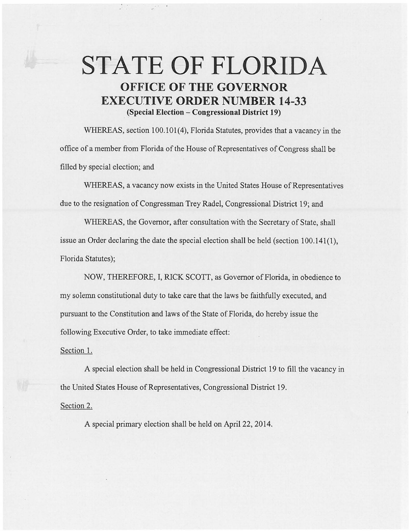## **STATE OF FLORIDA OFFICE OF THE GOVERNOR EXECU.TIVE ORDER NUMBER 14-33 (Special Election- Congressional District 19)**

WHEREAS, section 100.101(4), Florida Statutes, provides that a vacancy in the office of a member from Florida of the House of Representatives of Congress shall be filled by special election; and

WHEREAS, a vacancy now exists in the United States House of Representatives due to the resignation of Congressman Trey Radel, Congressional District 19; and

WHEREAS, the Governor, after consultation with the Secretary of State, shall issue an Order declaring the date the special election shall be held (section 100.141(1), Florida Statutes);

NOW, THEREFORE, I, RICK SCOTT, as Governor of Florida, in obedience to my solemn constitutional duty to take care that the laws be faithfully executed, and pursuant to the Constitution and laws of the State of Florida, do hereby issue the following Executive Order, to take immediate effect:

Section 1.

A special election shall be held in Congressional District 19 to fill the vacancy in the United States House of Representatives, Congressional District 19.

Section 2.

A special primary election shall be held on April22, 2014.